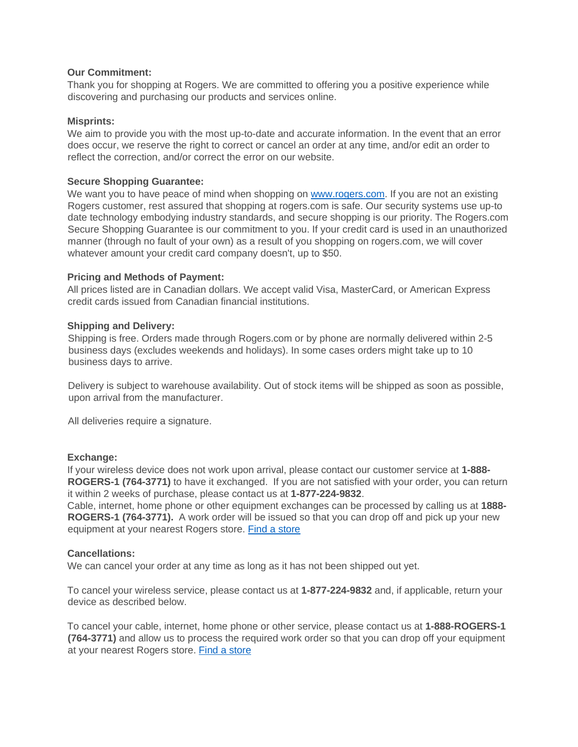### **Our Commitment:**

Thank you for shopping at Rogers. We are committed to offering you a positive experience while discovering and purchasing our products and services online.

### **Misprints:**

We aim to provide you with the most up-to-date and accurate information. In the event that an error does occur, we reserve the right to correct or cancel an order at any time, and/or edit an order to reflect the correction, and/or correct the error on our website.

# **Secure Shopping Guarantee:**

We want you to have peace of mind when shopping on [www.rogers.com.](http://www.rogers.com/) If you are not an existing Rogers customer, rest assured that shopping at rogers.com is safe. Our security systems use up-to date technology embodying industry standards, and secure shopping is our priority. The Rogers.com Secure Shopping Guarantee is our commitment to you. If your credit card is used in an unauthorized manner (through no fault of your own) as a result of you shopping on rogers.com, we will cover whatever amount your credit card company doesn't, up to \$50.

### **Pricing and Methods of Payment:**

All prices listed are in Canadian dollars. We accept valid Visa, MasterCard, or American Express credit cards issued from Canadian financial institutions.

### **Shipping and Delivery:**

Shipping is free. Orders made through Rogers.com or by phone are normally delivered within 2-5 business days (excludes weekends and holidays). In some cases orders might take up to 10 business days to arrive.

Delivery is subject to warehouse availability. Out of stock items will be shipped as soon as possible, upon arrival from the manufacturer.

All deliveries require a signature.

### **Exchange:**

If your wireless device does not work upon arrival, please contact our customer service at **1-888- ROGERS-1 (764-3771)** to have it exchanged. If you are not satisfied with your order, you can return it within 2 weeks of purchase, please contact us at **1-877-224-9832**.

Cable, internet, home phone or other equipment exchanges can be processed by calling us at **1888- ROGERS-1 (764-3771).** A work order will be issued so that you can drop off and pick up your new equipment at your nearest Rogers store. [Find a store](http://www.rogers.com/web/Rogers.portal?_nfpb=true&_pageLabel=store_locator&customer_type=Residential)

### **Cancellations:**

We can cancel your order at any time as long as it has not been shipped out yet.

To cancel your wireless service, please contact us at **1-877-224-9832** and, if applicable, return your device as described below.

To cancel your cable, internet, home phone or other service, please contact us at **1-888-ROGERS-1 (764-3771)** and allow us to process the required work order so that you can drop off your equipment at your nearest Rogers store. [Find a store](http://www.rogers.com/web/Rogers.portal?_nfpb=true&_pageLabel=store_locator&customer_type=Residential)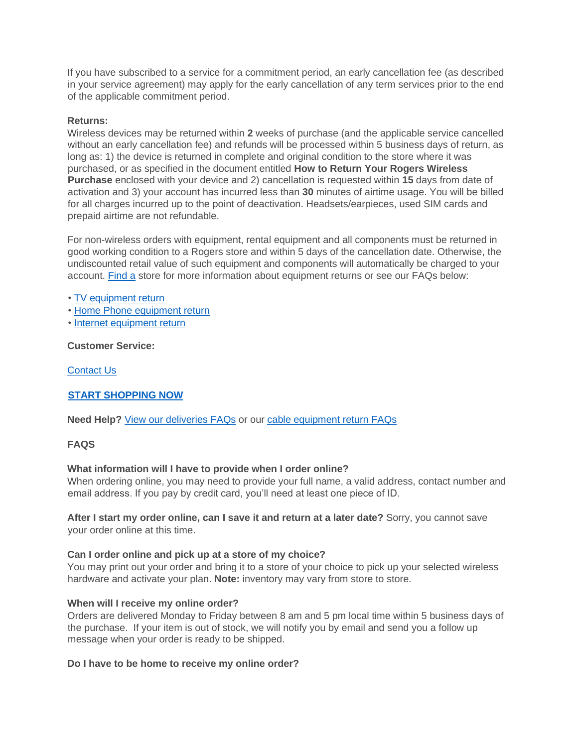If you have subscribed to a service for a commitment period, an early cancellation fee (as described in your service agreement) may apply for the early cancellation of any term services prior to the end of the applicable commitment period.

# **Returns:**

Wireless devices may be returned within **2** weeks of purchase (and the applicable service cancelled without an early cancellation fee) and refunds will be processed within 5 business days of return, as long as: 1) the device is returned in complete and original condition to the store where it was purchased, or as specified in the document entitled **How to Return Your Rogers Wireless Purchase** enclosed with your device and 2) cancellation is requested within **15** days from date of activation and 3) your account has incurred less than **30** minutes of airtime usage. You will be billed for all charges incurred up to the point of deactivation. Headsets/earpieces, used SIM cards and prepaid airtime are not refundable.

For non-wireless orders with equipment, rental equipment and all components must be returned in good working condition to a Rogers store and within 5 days of the cancellation date. Otherwise, the undiscounted retail value of such equipment and components will automatically be charged to your account. [Find a](http://www.rogers.com/web/Rogers.portal?_nfpb=true&_pageLabel=store_locator&customer_type=Residential) store for more information about equipment returns or see our FAQs below:

- [TV equipment return](http://www.rogers.com/web/support/tv/equipment-return/378)
- [Home Phone equipment return](http://www.rogers.com/web/support/home-phone/equipment-return/144)
- [Internet equipment return](http://www.rogers.com/web/support/internet/equipment-return/339)

### **Customer Service:**

[Contact Us](https://www.rogers.com/web/content/contact-shop)

# **[START SHOPPING NOW](http://www.rogers.com/consumer/wireless)**

**Need Help[?](http://www.rogers.com/web/support/account/deliver/43)** [View our deliveries FAQs](http://www.rogers.com/web/support/account/deliver/43) [o](http://www.rogers.com/web/support/account/deliver/43)r our [cable equipment return FAQs](http://www.rogers.com/web/support/tv/equipment-return/378)

### **FAQS**

### **What information will I have to provide when I order online?**

When ordering online, you may need to provide your full name, a valid address, contact number and email address. If you pay by credit card, you'll need at least one piece of ID.

### **After I start my order online, can I save it and return at a later date?** Sorry, you cannot save your order online at this time.

### **Can I order online and pick up at a store of my choice?**

You may print out your order and bring it to a store of your choice to pick up your selected wireless hardware and activate your plan. **Note:** inventory may vary from store to store.

### **When will I receive my online order?**

Orders are delivered Monday to Friday between 8 am and 5 pm local time within 5 business days of the purchase. If your item is out of stock, we will notify you by email and send you a follow up message when your order is ready to be shipped.

### **Do I have to be home to receive my online order?**